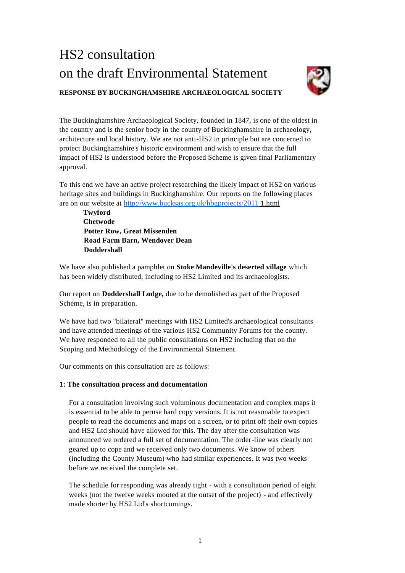# HS2 consultation on the draft Environmental Statement



# **RESPONSE BY BUCKINGHAMSHIRE ARCHAEOLOGICAL SOCIETY**

The Buckinghamshire Archaeological Society, founded in 1847, is one of the oldest in the country and is the senior body in the county of Buckinghamshire in archaeology, architecture and local history. We are not anti-HS2 in principle but are concerned to protect Buckinghamshire's historic environment and wish to ensure that the full impact of HS2 is understood before the Proposed Scheme is given final Parliamentary approval.

To this end we have an active project researching the likely impact of HS2 on various heritage sites and buildings in Buckinghamshire. Our reports on the following places are on our website at <http://www.bucksas.org.uk/hbgprojects/2011> 1.html

**Twyford Chetwode Potter Row, Great Missenden Road Farm Barn, Wendover Dean Doddershall**

We have also published a pamphlet on **Stoke Mandeville's deserted village** which has been widely distributed, including to HS2 Limited and its archaeologists.

Our report on **Doddershall Lodge,** due to be demolished as part of the Proposed Scheme, is in preparation.

We have had two "bilateral" meetings with HS2 Limited's archaeological consultants and have attended meetings of the various HS2 Community Forums for the county. We have responded to all the public consultations on HS2 including that on the Scoping and Methodology of the Environmental Statement.

Our comments on this consultation are as follows:

# **1: The consultation process and documentation**

For a consultation involving such voluminous documentation and complex maps it is essential to be able to peruse hard copy versions. It is not reasonable to expect people to read the documents and maps on a screen, or to print off their own copies and HS2 Ltd should have allowed for this. The day after the consultation was announced we ordered a full set of documentation. The order-line was clearly not geared up to cope and we received only two documents. We know of others (including the County Museum) who had similar experiences. It was two weeks before we received the complete set.

The schedule for responding was already tight - with a consultation period of eight weeks (not the twelve weeks mooted at the outset of the project) - and effectively made shorter by HS2 Ltd's shortcomings.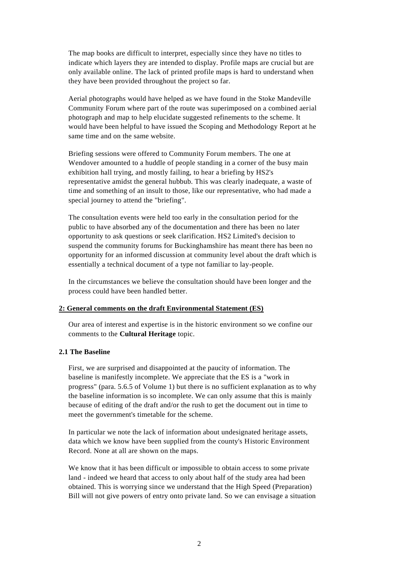The map books are difficult to interpret, especially since they have no titles to indicate which layers they are intended to display. Profile maps are crucial but are only available online. The lack of printed profile maps is hard to understand when they have been provided throughout the project so far.

Aerial photographs would have helped as we have found in the Stoke Mandeville Community Forum where part of the route was superimposed on a combined aerial photograph and map to help elucidate suggested refinements to the scheme. It would have been helpful to have issued the Scoping and Methodology Report at he same time and on the same website.

Briefing sessions were offered to Community Forum members. The one at Wendover amounted to a huddle of people standing in a corner of the busy main exhibition hall trying, and mostly failing, to hear a briefing by HS2's representative amidst the general hubbub. This was clearly inadequate, a waste of time and something of an insult to those, like our representative, who had made a special journey to attend the "briefing".

The consultation events were held too early in the consultation period for the public to have absorbed any of the documentation and there has been no later opportunity to ask questions or seek clarification. HS2 Limited's decision to suspend the community forums for Buckinghamshire has meant there has been no opportunity for an informed discussion at community level about the draft which is essentially a technical document of a type not familiar to lay-people.

In the circumstances we believe the consultation should have been longer and the process could have been handled better.

## **2: General comments on the draft Environmental Statement (ES)**

Our area of interest and expertise is in the historic environment so we confine our comments to the **Cultural Heritage** topic.

#### **2.1 The Baseline**

First, we are surprised and disappointed at the paucity of information. The baseline is manifestly incomplete. We appreciate that the ES is a "work in progress" (para. 5.6.5 of Volume 1) but there is no sufficient explanation as to why the baseline information is so incomplete. We can only assume that this is mainly because of editing of the draft and/or the rush to get the document out in time to meet the government's timetable for the scheme.

In particular we note the lack of information about undesignated heritage assets, data which we know have been supplied from the county's Historic Environment Record. None at all are shown on the maps.

We know that it has been difficult or impossible to obtain access to some private land - indeed we heard that access to only about half of the study area had been obtained. This is worrying since we understand that the High Speed (Preparation) Bill will not give powers of entry onto private land. So we can envisage a situation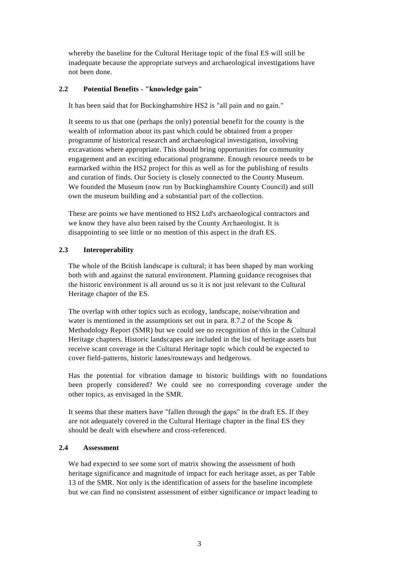whereby the baseline for the Cultural Heritage topic of the final ES will still be inadequate because the appropriate surveys and archaeological investigations have not been done.

# **2.2 Potential Benefits - "knowledge gain"**

It has been said that for Buckinghamshire HS2 is "all pain and no gain."

It seems to us that one (perhaps the only) potential benefit for the county is the wealth of information about its past which could be obtained from a proper programme of historical research and archaeological investigation, involving excavations where appropriate. This should bring opportunities for community engagement and an exciting educational programme. Enough resource needs to be earmarked within the HS2 project for this as well as for the publishing of results and curation of finds. Our Society is closely connected to the County Museum. We founded the Museum (now run by Buckinghamshire County Council) and still own the museum building and a substantial part of the collection.

These are points we have mentioned to HS2 Ltd's archaeological contractors and we know they have also been raised by the County Archaeologist. It is disappointing to see little or no mention of this aspect in the draft ES.

# **2.3 Interoperability**

The whole of the British landscape is cultural; it has been shaped by man working both with and against the natural environment. Planning guidance recognises that the historic environment is all around us so it is not just relevant to the Cultural Heritage chapter of the ES.

The overlap with other topics such as ecology, landscape, noise/vibration and water is mentioned in the assumptions set out in para. 8.7.2 of the Scope & Methodology Report (SMR) but we could see no recognition of this in the Cultural Heritage chapters. Historic landscapes are included in the list of heritage assets but receive scant coverage in the Cultural Heritage topic which could be expected to cover field-patterns, historic lanes/routeways and hedgerows.

Has the potential for vibration damage to historic buildings with no foundations been properly considered? We could see no corresponding coverage under the other topics, as envisaged in the SMR.

It seems that these matters have "fallen through the gaps" in the draft ES. If they are not adequately covered in the Cultural Heritage chapter in the final ES they should be dealt with elsewhere and cross-referenced.

## **2.4 Assessment**

We had expected to see some sort of matrix showing the assessment of both heritage significance and magnitude of impact for each heritage asset, as per Table 13 of the SMR. Not only is the identification of assets for the baseline incomplete but we can find no consistent assessment of either significance or impact leading to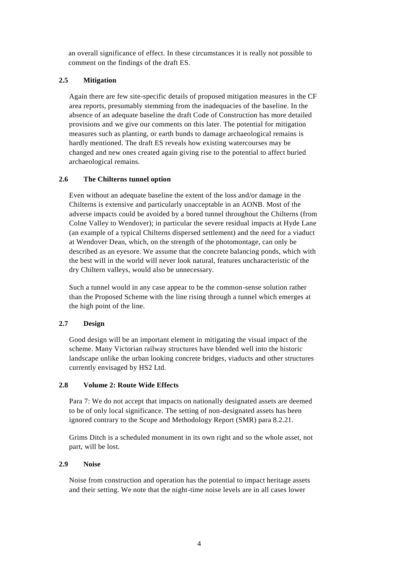an overall significance of effect. In these circumstances it is really not possible to comment on the findings of the draft ES.

# **2.5 Mitigation**

Again there are few site-specific details of proposed mitigation measures in the CF area reports, presumably stemming from the inadequacies of the baseline. In the absence of an adequate baseline the draft Code of Construction has more detailed provisions and we give our comments on this later. The potential for mitigation measures such as planting, or earth bunds to damage archaeological remains is hardly mentioned. The draft ES reveals how existing watercourses may be changed and new ones created again giving rise to the potential to affect buried archaeological remains.

# **2.6 The Chilterns tunnel option**

Even without an adequate baseline the extent of the loss and/or damage in the Chilterns is extensive and particularly unacceptable in an AONB. Most of the adverse impacts could be avoided by a bored tunnel throughout the Chilterns (from Colne Valley to Wendover); in particular the severe residual impacts at Hyde Lane (an example of a typical Chilterns dispersed settlement) and the need for a viaduct at Wendover Dean, which, on the strength of the photomontage, can only be described as an eyesore. We assume that the concrete balancing ponds, which with the best will in the world will never look natural, features uncharacteristic of the dry Chiltern valleys, would also be unnecessary.

Such a tunnel would in any case appear to be the common-sense solution rather than the Proposed Scheme with the line rising through a tunnel which emerges at the high point of the line.

# **2.7 Design**

Good design will be an important element in mitigating the visual impact of the scheme. Many Victorian railway structures have blended well into the historic landscape unlike the urban looking concrete bridges, viaducts and other structures currently envisaged by HS2 Ltd.

## **2.8 Volume 2: Route Wide Effects**

Para 7: We do not accept that impacts on nationally designated assets are deemed to be of only local significance. The setting of non-designated assets has been ignored contrary to the Scope and Methodology Report (SMR) para 8.2.21.

Grims Ditch is a scheduled monument in its own right and so the whole asset, not part, will be lost.

## **2.9 Noise**

Noise from construction and operation has the potential to impact heritage assets and their setting. We note that the night-time noise levels are in all cases lower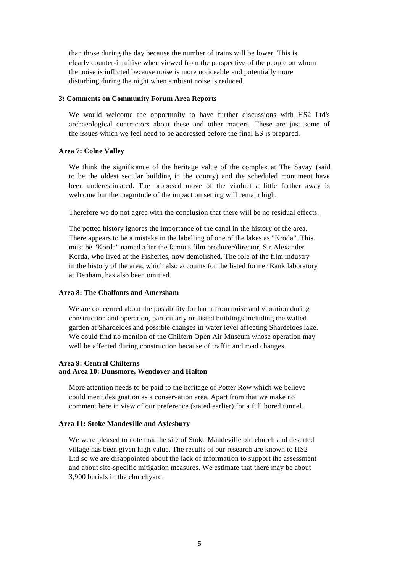than those during the day because the number of trains will be lower. This is clearly counter-intuitive when viewed from the perspective of the people on whom the noise is inflicted because noise is more noticeable and potentially more disturbing during the night when ambient noise is reduced.

#### **3: Comments on Community Forum Area Reports**

We would welcome the opportunity to have further discussions with HS2 Ltd's archaeological contractors about these and other matters. These are just some of the issues which we feel need to be addressed before the final ES is prepared.

#### **Area 7: Colne Valley**

We think the significance of the heritage value of the complex at The Savay (said to be the oldest secular building in the county) and the scheduled monument have been underestimated. The proposed move of the viaduct a little farther away is welcome but the magnitude of the impact on setting will remain high.

Therefore we do not agree with the conclusion that there will be no residual effects.

The potted history ignores the importance of the canal in the history of the area. There appears to be a mistake in the labelling of one of the lakes as "Kroda". This must be "Korda" named after the famous film producer/director, Sir Alexander Korda, who lived at the Fisheries, now demolished. The role of the film industry in the history of the area, which also accounts for the listed former Rank laboratory at Denham, has also been omitted.

#### **Area 8: The Chalfonts and Amersham**

We are concerned about the possibility for harm from noise and vibration during construction and operation, particularly on listed buildings including the walled garden at Shardeloes and possible changes in water level affecting Shardeloes lake. We could find no mention of the Chiltern Open Air Museum whose operation may well be affected during construction because of traffic and road changes.

#### **Area 9: Central Chilterns and Area 10: Dunsmore, Wendover and Halton**

More attention needs to be paid to the heritage of Potter Row which we believe could merit designation as a conservation area. Apart from that we make no comment here in view of our preference (stated earlier) for a full bored tunnel.

#### **Area 11: Stoke Mandeville and Aylesbury**

We were pleased to note that the site of Stoke Mandeville old church and deserted village has been given high value. The results of our research are known to HS2 Ltd so we are disappointed about the lack of information to support the assessment and about site-specific mitigation measures. We estimate that there may be about 3,900 burials in the churchyard.